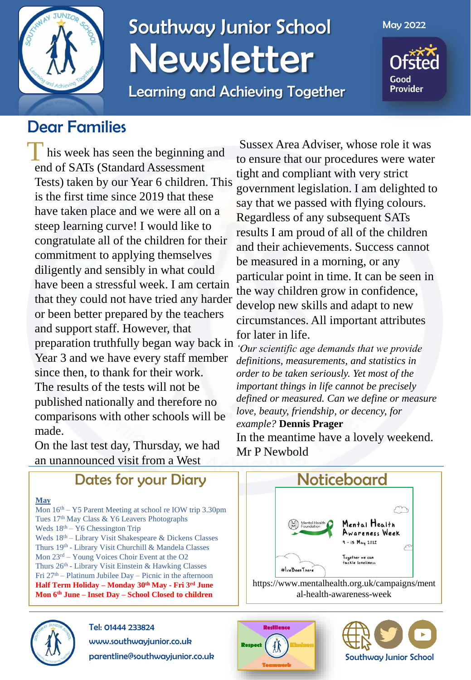

## Southway Junior School Newsletter

Learning and Achieving Together

May 2022

Good **Provider** 

### Dear Families

This week has seen the beginning and end of SATs (Standard Assessment Tests) taken by our Year 6 children. This is the first time since 2019 that these have taken place and we were all on a steep learning curve! I would like to congratulate all of the children for their commitment to applying themselves diligently and sensibly in what could have been a stressful week. I am certain that they could not have tried any harder or been better prepared by the teachers and support staff. However, that preparation truthfully began way back in Year 3 and we have every staff member since then, to thank for their work. The results of the tests will not be published nationally and therefore no comparisons with other schools will be made.

On the last test day, Thursday, we had an unannounced visit from a West

Dates for your Diary

#### **May**

Mon 16th – Y5 Parent Meeting at school re IOW trip 3.30pm Tues 17th May Class & Y6 Leavers Photographs Weds  $18<sup>th</sup> - Y6$  Chessington Trip Weds 18th – Library Visit Shakespeare & Dickens Classes Thurs 19th - Library Visit Churchill & Mandela Classes Mon 23rd – Young Voices Choir Event at the O2 Thurs 26<sup>th</sup> - Library Visit Einstein & Hawking Classes Fri 27th – Platinum Jubilee Day – Picnic in the afternoon **Half Term Holiday – Monday 30th May - Fri 3rd June Mon 6th June – Inset Day – School Closed to children**



## Tel: 01444 233824

www.southwayjunior.co.uk

parentline@southwayjunior.co.uk

Sussex Area Adviser, whose role it was to ensure that our procedures were water tight and compliant with very strict government legislation. I am delighted to say that we passed with flying colours. Regardless of any subsequent SATs results I am proud of all of the children and their achievements. Success cannot be measured in a morning, or any particular point in time. It can be seen in the way children grow in confidence, develop new skills and adapt to new circumstances. All important attributes for later in life.

*'Our scientific age demands that we provide definitions, measurements, and statistics in order to be taken seriously. Yet most of the important things in life cannot be precisely defined or measured. Can we define or measure love, beauty, friendship, or decency, for example?* **Dennis Prager**

In the meantime have a lovely weekend. Mr P Newbold





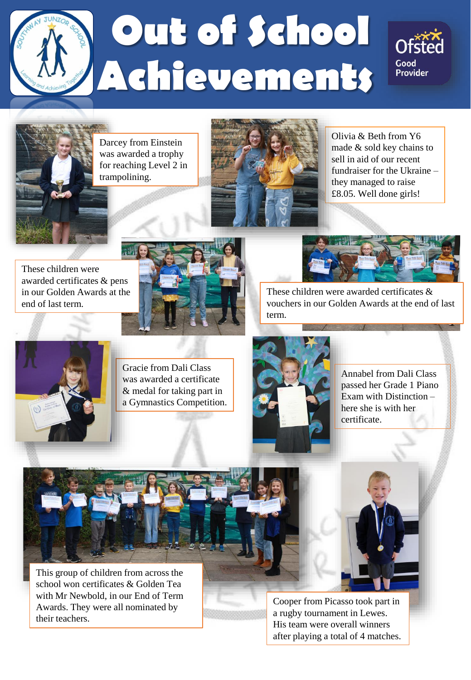

# Out of School **Achievements**





Darcey from Einstein was awarded a trophy for reaching Level 2 in trampolining.



Olivia & Beth from Y6 made & sold key chains to sell in aid of our recent fundraiser for the Ukraine – they managed to raise £8.05. Well done girls!

These children were awarded certificates & pens in our Golden Awards at the end of last term.





These children were awarded certificates & vouchers in our Golden Awards at the end of last term.



Gracie from Dali Class was awarded a certificate & medal for taking part in a Gymnastics Competition.



Annabel from Dali Class passed her Grade 1 Piano Exam with Distinction – here she is with her certificate.



This group of children from across the school won certificates & Golden Tea with Mr Newbold, in our End of Term Awards. They were all nominated by their teachers.



Cooper from Picasso took part in a rugby tournament in Lewes. His team were overall winners after playing a total of 4 matches.